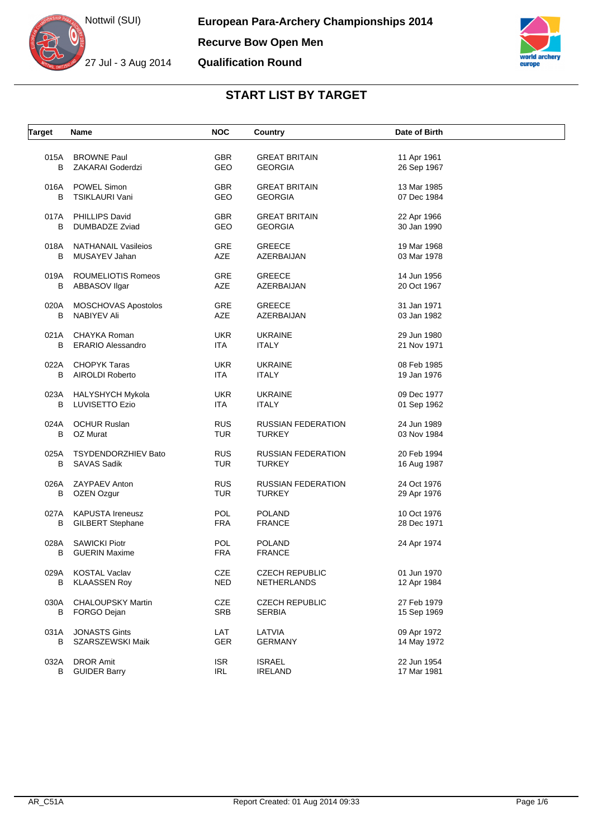



 $\Box$ 

| <b>Target</b> | Name                                        | <b>NOC</b>               | Country                                | Date of Birth              |  |
|---------------|---------------------------------------------|--------------------------|----------------------------------------|----------------------------|--|
| 015A          | <b>BROWNE Paul</b>                          | <b>GBR</b>               | <b>GREAT BRITAIN</b>                   | 11 Apr 1961                |  |
| B             | ZAKARAI Goderdzi                            | GEO                      | <b>GEORGIA</b>                         | 26 Sep 1967                |  |
|               | POWEL Simon                                 | <b>GBR</b>               | <b>GREAT BRITAIN</b>                   | 13 Mar 1985                |  |
| 016A<br>В     | <b>TSIKLAURI Vani</b>                       | GEO                      | <b>GEORGIA</b>                         | 07 Dec 1984                |  |
|               |                                             |                          |                                        |                            |  |
| 017A<br>B     | <b>PHILLIPS David</b><br>DUMBADZE Zviad     | <b>GBR</b><br>GEO        | <b>GREAT BRITAIN</b><br><b>GEORGIA</b> | 22 Apr 1966<br>30 Jan 1990 |  |
|               |                                             |                          |                                        |                            |  |
| 018A<br>B     | <b>NATHANAIL Vasileios</b><br>MUSAYEV Jahan | GRE<br>AZE               | <b>GREECE</b><br><b>AZERBAIJAN</b>     | 19 Mar 1968<br>03 Mar 1978 |  |
|               |                                             |                          |                                        |                            |  |
| 019A<br>B     | <b>ROUMELIOTIS Romeos</b><br>ABBASOV Ilgar  | GRE<br>AZE               | <b>GREECE</b><br>AZERBAIJAN            | 14 Jun 1956<br>20 Oct 1967 |  |
|               |                                             |                          |                                        |                            |  |
| 020A<br>B     | <b>MOSCHOVAS Apostolos</b><br>NABIYEV Ali   | GRE<br><b>AZE</b>        | <b>GREECE</b><br>AZERBAIJAN            | 31 Jan 1971<br>03 Jan 1982 |  |
|               |                                             |                          |                                        |                            |  |
| 021A          | CHAYKA Roman                                | <b>UKR</b>               | <b>UKRAINE</b>                         | 29 Jun 1980                |  |
| В             | <b>ERARIO Alessandro</b>                    | ITA                      | <b>ITALY</b>                           | 21 Nov 1971                |  |
| 022A          | <b>CHOPYK Taras</b>                         | <b>UKR</b>               | <b>UKRAINE</b>                         | 08 Feb 1985                |  |
| B             | AIROLDI Roberto                             | ITA                      | <b>ITALY</b>                           | 19 Jan 1976                |  |
| 023A          | <b>HALYSHYCH Mykola</b>                     | <b>UKR</b>               | <b>UKRAINE</b>                         | 09 Dec 1977                |  |
| B             | <b>LUVISETTO Ezio</b>                       | ITA.                     | <b>ITALY</b>                           | 01 Sep 1962                |  |
| 024A          | <b>OCHUR Ruslan</b>                         | <b>RUS</b>               | RUSSIAN FEDERATION                     | 24 Jun 1989                |  |
| В             | OZ Murat                                    | <b>TUR</b>               | TURKEY                                 | 03 Nov 1984                |  |
| 025A          | <b>TSYDENDORZHIEV Bato</b>                  | <b>RUS</b>               | RUSSIAN FEDERATION                     | 20 Feb 1994                |  |
| B             | <b>SAVAS Sadik</b>                          | <b>TUR</b>               | <b>TURKEY</b>                          | 16 Aug 1987                |  |
| 026A          | ZAYPAEV Anton                               | <b>RUS</b>               | RUSSIAN FEDERATION                     | 24 Oct 1976                |  |
| B             | OZEN Ozgur                                  | <b>TUR</b>               | <b>TURKEY</b>                          | 29 Apr 1976                |  |
| 027A          | <b>KAPUSTA Ireneusz</b>                     | <b>POL</b>               | <b>POLAND</b>                          | 10 Oct 1976                |  |
| B             | <b>GILBERT Stephane</b>                     | <b>FRA</b>               | <b>FRANCE</b>                          | 28 Dec 1971                |  |
| 028A          | <b>SAWICKI Piotr</b>                        | <b>POL</b>               | <b>POLAND</b>                          | 24 Apr 1974                |  |
| В             | <b>GUERIN Maxime</b>                        | <b>FRA</b>               | <b>FRANCE</b>                          |                            |  |
|               | 029A KOSTAL Vaclav                          | CZE                      | <b>CZECH REPUBLIC</b>                  | 01 Jun 1970                |  |
| B             | <b>KLAASSEN Roy</b>                         | NED                      | NETHERLANDS                            | 12 Apr 1984                |  |
|               |                                             |                          |                                        |                            |  |
| 030A<br>B     | <b>CHALOUPSKY Martin</b><br>FORGO Dejan     | CZE<br><b>SRB</b>        | <b>CZECH REPUBLIC</b><br><b>SERBIA</b> | 27 Feb 1979<br>15 Sep 1969 |  |
|               |                                             |                          |                                        |                            |  |
| 031A<br>В     | <b>JONASTS Gints</b><br>SZARSZEWSKI Maik    | LAT<br><b>GER</b>        | LATVIA<br><b>GERMANY</b>               | 09 Apr 1972<br>14 May 1972 |  |
|               |                                             |                          |                                        |                            |  |
| 032A<br>B     | <b>DROR Amit</b><br><b>GUIDER Barry</b>     | <b>ISR</b><br><b>IRL</b> | <b>ISRAEL</b><br><b>IRELAND</b>        | 22 Jun 1954<br>17 Mar 1981 |  |
|               |                                             |                          |                                        |                            |  |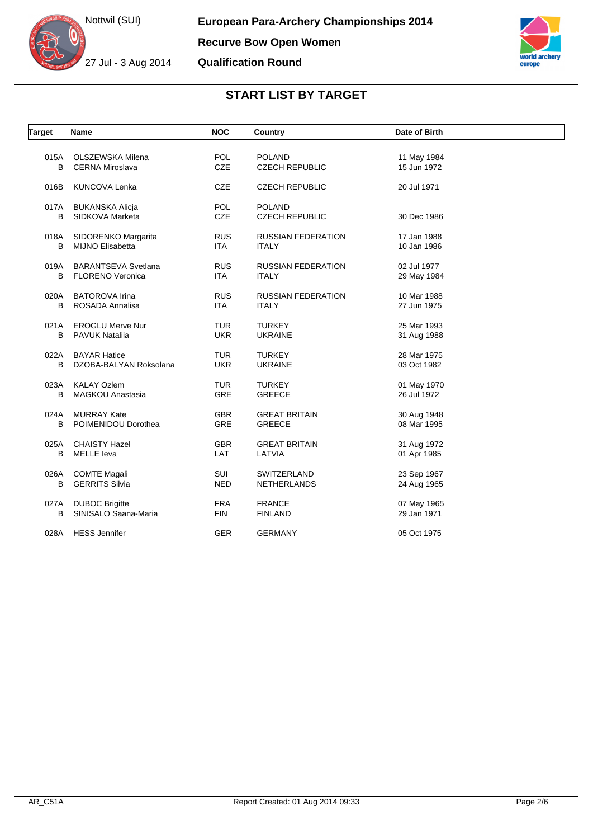



| <b>Target</b> | Name                                         | <b>NOC</b> | Country                   | Date of Birth              |  |
|---------------|----------------------------------------------|------------|---------------------------|----------------------------|--|
|               |                                              |            |                           |                            |  |
| 015A          | OLSZEWSKA Milena                             | POL        | <b>POLAND</b>             | 11 May 1984                |  |
| В             | <b>CERNA Miroslava</b>                       | CZE        | <b>CZECH REPUBLIC</b>     | 15 Jun 1972                |  |
| 016B          | <b>KUNCOVA Lenka</b>                         | <b>CZE</b> | <b>CZECH REPUBLIC</b>     | 20 Jul 1971                |  |
| 017A          | <b>BUKANSKA Alicja</b>                       | POL        | <b>POLAND</b>             |                            |  |
| B             | SIDKOVA Marketa                              | <b>CZE</b> | <b>CZECH REPUBLIC</b>     | 30 Dec 1986                |  |
| 018A          | SIDORENKO Margarita                          | <b>RUS</b> | <b>RUSSIAN FEDERATION</b> | 17 Jan 1988                |  |
| B             | <b>MIJNO Elisabetta</b>                      | <b>ITA</b> | <b>ITALY</b>              | 10 Jan 1986                |  |
| 019A          | <b>BARANTSEVA Svetlana</b>                   | <b>RUS</b> | <b>RUSSIAN FEDERATION</b> | 02 Jul 1977                |  |
| B             | FLORENO Veronica                             | <b>ITA</b> | <b>ITALY</b>              | 29 May 1984                |  |
| 020A          | <b>BATOROVA Irina</b>                        | <b>RUS</b> | <b>RUSSIAN FEDERATION</b> | 10 Mar 1988                |  |
| B             | ROSADA Annalisa                              | <b>ITA</b> | <b>ITALY</b>              | 27 Jun 1975                |  |
| 021A          | <b>EROGLU Merve Nur</b>                      | <b>TUR</b> | <b>TURKEY</b>             | 25 Mar 1993                |  |
| B             | <b>PAVUK Natalija</b>                        | <b>UKR</b> | <b>UKRAINE</b>            | 31 Aug 1988                |  |
| 022A          | <b>BAYAR Hatice</b>                          | <b>TUR</b> | <b>TURKEY</b>             | 28 Mar 1975                |  |
| B             | DZOBA-BALYAN Roksolana                       | <b>UKR</b> | <b>UKRAINE</b>            | 03 Oct 1982                |  |
| 023A          | <b>KALAY Ozlem</b>                           | <b>TUR</b> | <b>TURKEY</b>             | 01 May 1970                |  |
| в             | MAGKOU Anastasia                             | <b>GRE</b> | <b>GREECE</b>             | 26 Jul 1972                |  |
| 024A          | <b>MURRAY Kate</b>                           | <b>GBR</b> | <b>GREAT BRITAIN</b>      | 30 Aug 1948                |  |
| В             | POIMENIDOU Dorothea                          | GRE        | <b>GREECE</b>             | 08 Mar 1995                |  |
| 025A          | <b>CHAISTY Hazel</b>                         | <b>GBR</b> | <b>GREAT BRITAIN</b>      | 31 Aug 1972                |  |
| B             | <b>MELLE</b> leva                            | <b>LAT</b> | LATVIA                    | 01 Apr 1985                |  |
|               |                                              | SUI        | SWITZERLAND               |                            |  |
| 026A<br>B     | <b>COMTE Magali</b><br><b>GERRITS Silvia</b> | <b>NED</b> | <b>NETHERLANDS</b>        | 23 Sep 1967<br>24 Aug 1965 |  |
|               |                                              |            |                           |                            |  |
| 027A          | <b>DUBOC Brigitte</b>                        | <b>FRA</b> | <b>FRANCE</b>             | 07 May 1965                |  |
| B             | SINISALO Saana-Maria                         | <b>FIN</b> | <b>FINLAND</b>            | 29 Jan 1971                |  |
| 028A          | <b>HESS</b> Jennifer                         | <b>GER</b> | <b>GERMANY</b>            | 05 Oct 1975                |  |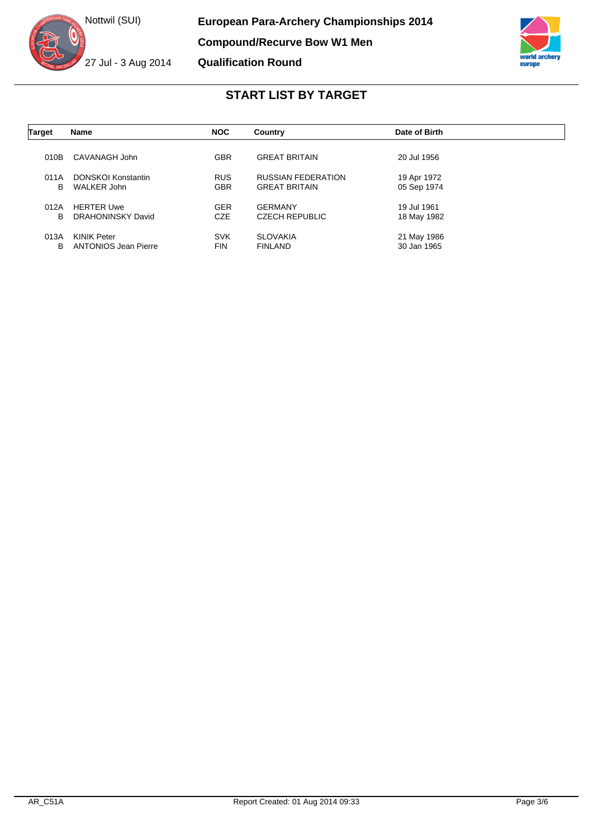



| <b>Target</b> | <b>Name</b>                 | <b>NOC</b> | Country                   | Date of Birth |  |
|---------------|-----------------------------|------------|---------------------------|---------------|--|
|               |                             |            |                           |               |  |
| 010B          | CAVANAGH John               | <b>GBR</b> | <b>GREAT BRITAIN</b>      | 20 Jul 1956   |  |
| 011A          | DONSKOI Konstantin          | <b>RUS</b> | <b>RUSSIAN FEDERATION</b> | 19 Apr 1972   |  |
| B             | WALKER John                 | <b>GBR</b> | <b>GREAT BRITAIN</b>      | 05 Sep 1974   |  |
| 012A          | <b>HERTER Uwe</b>           | <b>GER</b> | <b>GERMANY</b>            | 19 Jul 1961   |  |
| B             | DRAHONINSKY David           | <b>CZE</b> | <b>CZECH REPUBLIC</b>     | 18 May 1982   |  |
| 013A          | <b>KINIK Peter</b>          | <b>SVK</b> | <b>SLOVAKIA</b>           | 21 May 1986   |  |
| В             | <b>ANTONIOS Jean Pierre</b> | <b>FIN</b> | <b>FINLAND</b>            | 30 Jan 1965   |  |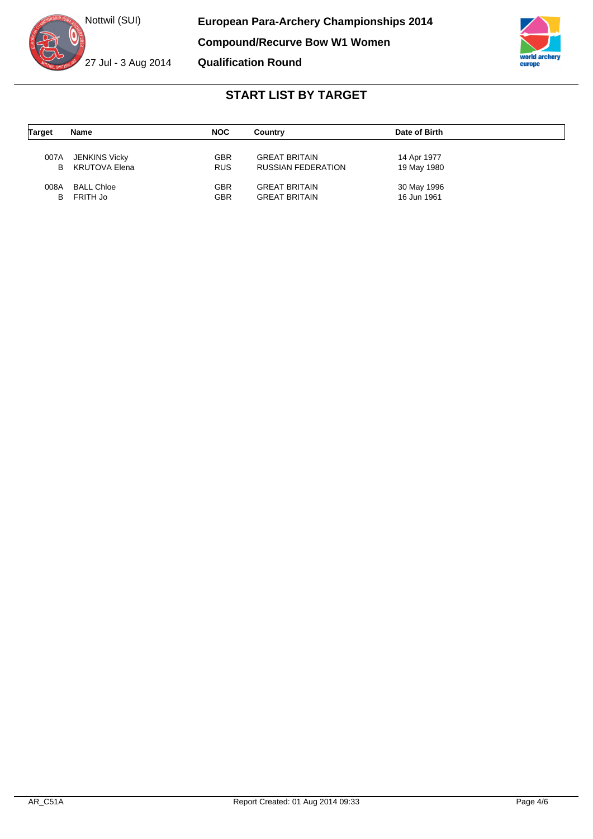



| <b>Target</b> | Name              | <b>NOC</b> | Country              | Date of Birth |
|---------------|-------------------|------------|----------------------|---------------|
| 007A          | JENKINS Vicky     | GBR        | <b>GREAT BRITAIN</b> | 14 Apr 1977   |
| B             | KRUTOVA Elena     | <b>RUS</b> | RUSSIAN FEDERATION   | 19 May 1980   |
| 008A          | <b>BALL Chloe</b> | GBR        | <b>GREAT BRITAIN</b> | 30 May 1996   |
| B             | FRITH Jo          | <b>GBR</b> | <b>GREAT BRITAIN</b> | 16 Jun 1961   |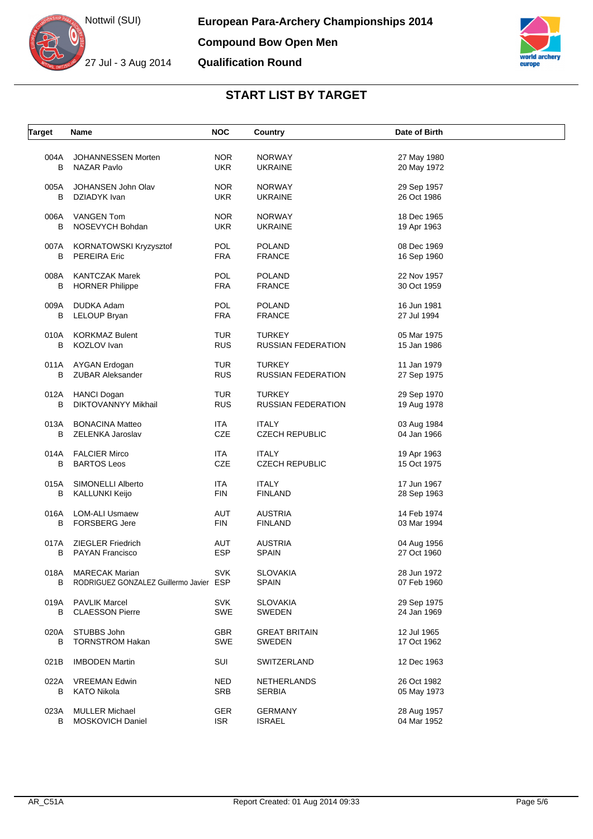



| <b>Target</b> | Name                                    | <b>NOC</b> | Country                   | Date of Birth |
|---------------|-----------------------------------------|------------|---------------------------|---------------|
| 004A          | JOHANNESSEN Morten                      | <b>NOR</b> | <b>NORWAY</b>             | 27 May 1980   |
| B             | <b>NAZAR Pavlo</b>                      | <b>UKR</b> | <b>UKRAINE</b>            | 20 May 1972   |
| 005A          | JOHANSEN John Olav                      | <b>NOR</b> | <b>NORWAY</b>             | 29 Sep 1957   |
| B             | DZIADYK Ivan                            | <b>UKR</b> | <b>UKRAINE</b>            | 26 Oct 1986   |
| 006A          | <b>VANGEN Tom</b>                       | <b>NOR</b> | <b>NORWAY</b>             | 18 Dec 1965   |
| B             | NOSEVYCH Bohdan                         | <b>UKR</b> | <b>UKRAINE</b>            | 19 Apr 1963   |
| 007A          | KORNATOWSKI Kryzysztof                  | POL        | <b>POLAND</b>             | 08 Dec 1969   |
| B             | <b>PEREIRA Eric</b>                     | <b>FRA</b> | <b>FRANCE</b>             | 16 Sep 1960   |
| 008A          | <b>KANTCZAK Marek</b>                   | POL        | <b>POLAND</b>             | 22 Nov 1957   |
| B             | <b>HORNER Philippe</b>                  | <b>FRA</b> | <b>FRANCE</b>             | 30 Oct 1959   |
| 009A          | DUDKA Adam                              | POL        | <b>POLAND</b>             | 16 Jun 1981   |
| В             | <b>LELOUP Bryan</b>                     | <b>FRA</b> | <b>FRANCE</b>             | 27 Jul 1994   |
| 010A          | <b>KORKMAZ Bulent</b>                   | TUR        | <b>TURKEY</b>             | 05 Mar 1975   |
| В             | KOZLOV Ivan                             | <b>RUS</b> | <b>RUSSIAN FEDERATION</b> | 15 Jan 1986   |
| 011A          | AYGAN Erdogan                           | <b>TUR</b> | <b>TURKEY</b>             | 11 Jan 1979   |
| В             | <b>ZUBAR Aleksander</b>                 | <b>RUS</b> | <b>RUSSIAN FEDERATION</b> | 27 Sep 1975   |
| 012A          | <b>HANCI Dogan</b>                      | <b>TUR</b> | <b>TURKEY</b>             | 29 Sep 1970   |
| B             | DIKTOVANNYY Mikhail                     | <b>RUS</b> | <b>RUSSIAN FEDERATION</b> | 19 Aug 1978   |
| 013A          | <b>BONACINA Matteo</b>                  | ITA        | ITALY                     | 03 Aug 1984   |
| В             | ZELENKA Jaroslav                        | <b>CZE</b> | <b>CZECH REPUBLIC</b>     | 04 Jan 1966   |
| 014A          | <b>FALCIER Mirco</b>                    | <b>ITA</b> | <b>ITALY</b>              | 19 Apr 1963   |
| В             | <b>BARTOS Leos</b>                      | <b>CZE</b> | <b>CZECH REPUBLIC</b>     | 15 Oct 1975   |
| 015A          | SIMONELLI Alberto                       | ITA        | <b>ITALY</b>              | 17 Jun 1967   |
| В             | KALLUNKI Keijo                          | FIN        | <b>FINLAND</b>            | 28 Sep 1963   |
| 016A          | <b>LOM-ALI Usmaew</b>                   | AUT        | <b>AUSTRIA</b>            | 14 Feb 1974   |
| В             | <b>FORSBERG Jere</b>                    | <b>FIN</b> | <b>FINLAND</b>            | 03 Mar 1994   |
|               | 017A ZIEGLER Friedrich                  | AUT        | <b>AUSTRIA</b>            | 04 Aug 1956   |
| B             | <b>PAYAN Francisco</b>                  | <b>ESP</b> | <b>SPAIN</b>              | 27 Oct 1960   |
|               | 018A MARECAK Marian                     | <b>SVK</b> | <b>SLOVAKIA</b>           | 28 Jun 1972   |
| В             | RODRIGUEZ GONZALEZ Guillermo Javier ESP |            | <b>SPAIN</b>              | 07 Feb 1960   |
|               | 019A PAVLIK Marcel                      | <b>SVK</b> | <b>SLOVAKIA</b>           | 29 Sep 1975   |
| В             | <b>CLAESSON Pierre</b>                  | SWE        | SWEDEN                    | 24 Jan 1969   |
| 020A          | STUBBS John                             | <b>GBR</b> | <b>GREAT BRITAIN</b>      | 12 Jul 1965   |
| B             | <b>TORNSTROM Hakan</b>                  | SWE        | SWEDEN                    | 17 Oct 1962   |
| 021B          | <b>IMBODEN Martin</b>                   | SUI        | SWITZERLAND               | 12 Dec 1963   |
| 022A          | <b>VREEMAN Edwin</b>                    | <b>NED</b> | <b>NETHERLANDS</b>        | 26 Oct 1982   |
| B             | <b>KATO Nikola</b>                      | <b>SRB</b> | <b>SERBIA</b>             | 05 May 1973   |
| 023A          | <b>MULLER Michael</b>                   | <b>GER</b> | <b>GERMANY</b>            | 28 Aug 1957   |
| B             | MOSKOVICH Daniel                        | <b>ISR</b> | <b>ISRAEL</b>             | 04 Mar 1952   |